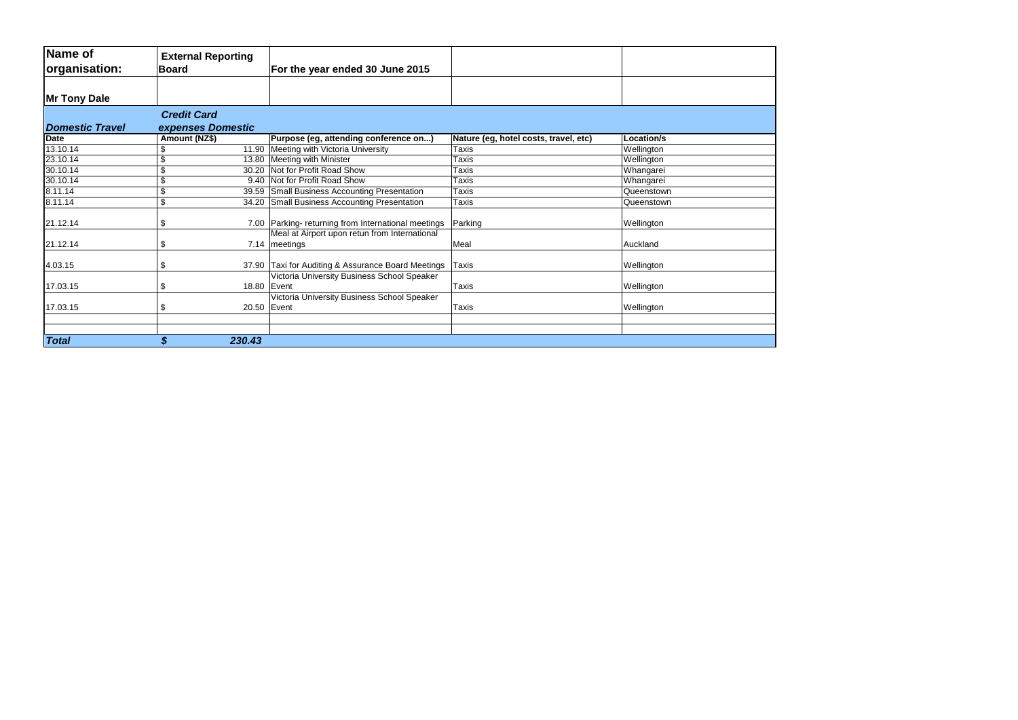| Name of<br>organisation: | <b>External Reporting</b><br><b>Board</b> |        | For the year ended 30 June 2015                                  |                                       |            |
|--------------------------|-------------------------------------------|--------|------------------------------------------------------------------|---------------------------------------|------------|
| Mr Tony Dale             |                                           |        |                                                                  |                                       |            |
| <b>Domestic Travel</b>   | <b>Credit Card</b><br>expenses Domestic   |        |                                                                  |                                       |            |
| <b>Date</b>              | Amount (NZ\$)                             |        | Purpose (eg, attending conference on)                            | Nature (eg, hotel costs, travel, etc) | Location/s |
| 13.10.14                 | \$                                        |        | 11.90 Meeting with Victoria University                           | Taxis                                 | Wellington |
| 23.10.14                 | \$                                        |        | 13.80 Meeting with Minister                                      | Taxis                                 | Wellington |
| 30.10.14                 | $\overline{\$}$                           |        | 30.20 Not for Profit Road Show                                   | Taxis                                 | Whangarei  |
| 30.10.14                 | $\overline{\$}$                           |        | 9.40 Not for Profit Road Show                                    | Taxis                                 | Whangarei  |
| 8.11.14                  | \$                                        |        | 39.59 Small Business Accounting Presentation                     | Taxis                                 | Queenstown |
| 8.11.14                  | $\overline{\$}$                           |        | 34.20 Small Business Accounting Presentation                     | Taxis                                 | Queenstown |
| 21.12.14                 | \$                                        |        | 7.00 Parking- returning from International meetings              | Parking                               | Wellington |
| 21.12.14                 | \$                                        |        | Meal at Airport upon retun from International<br>7.14   meetings | Meal                                  | Auckland   |
| 4.03.15                  | \$                                        |        | 37.90 Taxi for Auditing & Assurance Board Meetings               | Taxis                                 | Wellington |
| 17.03.15                 | \$                                        |        | Victoria University Business School Speaker<br>18.80   Event     | Taxis                                 | Wellington |
| 17.03.15                 | \$                                        |        | Victoria University Business School Speaker<br>20.50 Event       | Taxis                                 | Wellington |
|                          |                                           |        |                                                                  |                                       |            |
| <b>Total</b>             | \$                                        | 230.43 |                                                                  |                                       |            |

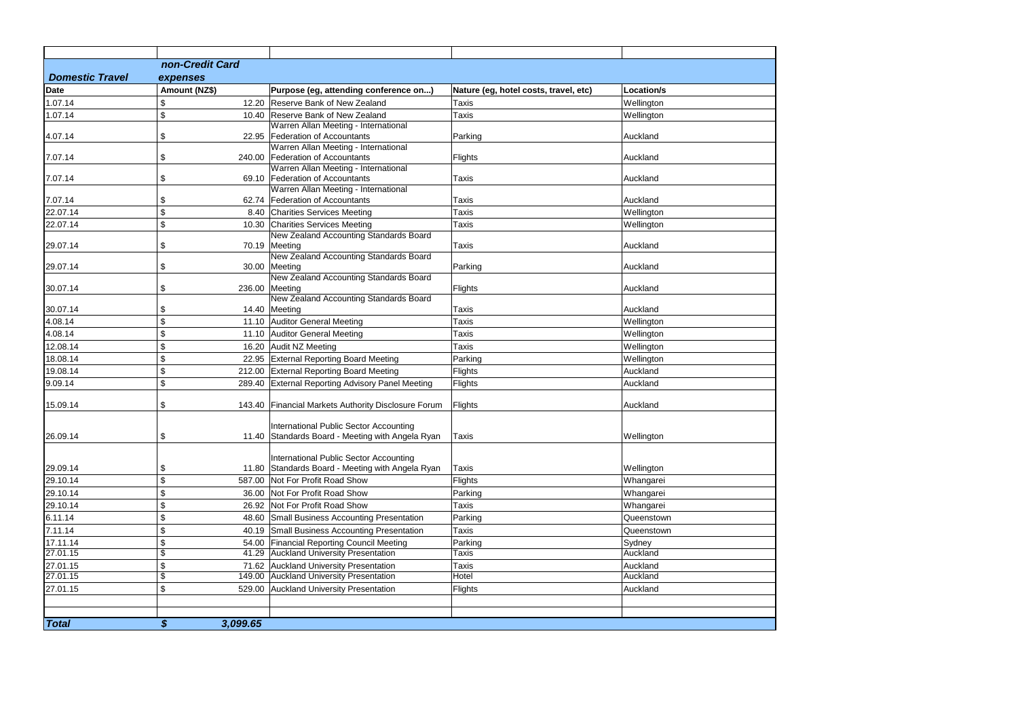| <b>Domestic Travel</b><br><b>Date</b><br>1.07.14<br>1.07.14 | non-Credit Card<br>expenses<br>Amount (NZ\$)<br>\$<br>\$<br>\$ | Purpose (eg, attending conference on)<br>12.20 Reserve Bank of New Zealand          | Nature (eg, hotel costs, travel, etc) | Location/s         |
|-------------------------------------------------------------|----------------------------------------------------------------|-------------------------------------------------------------------------------------|---------------------------------------|--------------------|
| 7.07.14                                                     |                                                                |                                                                                     |                                       |                    |
| 7.07.14<br>7.07.14<br>22.07.14                              |                                                                |                                                                                     |                                       |                    |
|                                                             |                                                                |                                                                                     |                                       |                    |
|                                                             |                                                                |                                                                                     | <b>Taxis</b>                          | Wellington         |
| 4.07.14<br>29.07.14<br>29.07.14                             |                                                                | 10.40 Reserve Bank of New Zealand                                                   | Taxis                                 | Wellington         |
|                                                             |                                                                | Warren Allan Meeting - International                                                |                                       |                    |
|                                                             |                                                                | 22.95 Federation of Accountants                                                     | Parking                               | Auckland           |
|                                                             |                                                                | Warren Allan Meeting - International                                                |                                       |                    |
|                                                             | \$                                                             | 240.00 Federation of Accountants                                                    | Flights                               | Auckland           |
|                                                             | \$                                                             | Warren Allan Meeting - International<br>69.10 Federation of Accountants             | Taxis                                 | Auckland           |
|                                                             |                                                                | Warren Allan Meeting - International                                                |                                       |                    |
|                                                             | \$                                                             | 62.74 Federation of Accountants                                                     | <b>Taxis</b>                          | Auckland           |
| 22.07.14                                                    | $\, \, \raisebox{12pt}{$\scriptstyle \$}$                      | 8.40 Charities Services Meeting                                                     | Taxis                                 | Wellington         |
|                                                             | \$                                                             | 10.30 Charities Services Meeting                                                    | Taxis                                 | Wellington         |
|                                                             |                                                                | New Zealand Accounting Standards Board                                              |                                       |                    |
|                                                             | \$                                                             | 70.19 Meeting                                                                       | <b>Taxis</b>                          | Auckland           |
|                                                             |                                                                | New Zealand Accounting Standards Board                                              |                                       |                    |
|                                                             | \$                                                             | 30.00 Meeting                                                                       | Parking                               | Auckland           |
|                                                             |                                                                | New Zealand Accounting Standards Board                                              |                                       |                    |
| 30.07.14                                                    | \$                                                             | 236.00 Meeting<br>New Zealand Accounting Standards Board                            | Flights                               | Auckland           |
| 30.07.14                                                    | \$                                                             | 14.40 Meeting                                                                       | Taxis                                 | Auckland           |
| 4.08.14                                                     | \$                                                             | 11.10 Auditor General Meeting                                                       | <b>Taxis</b>                          | Wellington         |
| 4.08.14                                                     | \$                                                             | 11.10 Auditor General Meeting                                                       | Taxis                                 | Wellington         |
| 12.08.14                                                    | \$                                                             | 16.20 Audit NZ Meeting                                                              | Taxis                                 | Wellington         |
| 18.08.14                                                    | \$                                                             | 22.95 External Reporting Board Meeting                                              | Parking                               | Wellington         |
| 19.08.14                                                    | \$                                                             | 212.00 External Reporting Board Meeting                                             | Flights                               | Auckland           |
| 9.09.14                                                     | \$                                                             | 289.40 External Reporting Advisory Panel Meeting                                    | Flights                               | Auckland           |
|                                                             |                                                                |                                                                                     |                                       |                    |
| 15.09.14                                                    | \$                                                             | 143.40 Financial Markets Authority Disclosure Forum                                 | Flights                               | Auckland           |
|                                                             |                                                                |                                                                                     |                                       |                    |
|                                                             |                                                                | International Public Sector Accounting                                              |                                       |                    |
| 26.09.14                                                    | \$                                                             | 11.40 Standards Board - Meeting with Angela Ryan                                    | Taxis                                 | Wellington         |
|                                                             |                                                                | International Public Sector Accounting                                              |                                       |                    |
| 29.09.14                                                    | \$                                                             | 11.80 Standards Board - Meeting with Angela Ryan                                    | Taxis                                 | Wellington         |
| 29.10.14                                                    | \$                                                             | 587.00 Not For Profit Road Show                                                     | Flights                               | Whangarei          |
| 29.10.14                                                    | $\, \, \raisebox{12pt}{$\scriptstyle \$}$                      | 36.00 Not For Profit Road Show                                                      | Parking                               | Whangarei          |
| 29.10.14                                                    | \$                                                             | 26.92 Not For Profit Road Show                                                      | Taxis                                 | Whangarei          |
| 6.11.14                                                     | $\, \, \raisebox{12pt}{$\scriptstyle \$}$                      | 48.60 Small Business Accounting Presentation                                        | Parking                               | Queenstown         |
| 7.11.14                                                     |                                                                |                                                                                     |                                       |                    |
|                                                             | $\, \, \raisebox{12pt}{$\scriptstyle \$}$                      | 40.19 Small Business Accounting Presentation                                        | Taxis                                 | Queenstown         |
| 17.11.14<br>27.01.15                                        | \$<br>$\overline{\mathbf{e}}$                                  | 54.00 Financial Reporting Council Meeting<br>41.29 Auckland University Presentation | Parking<br>Taxis                      | Sydney<br>Auckland |
| 27.01.15                                                    | $\, \, \raisebox{12pt}{$\scriptstyle \$}$                      | 71.62 Auckland University Presentation                                              | Taxis                                 | Auckland           |
| 27.01.15                                                    | $\overline{\$}$                                                | 149.00 Auckland University Presentation                                             | Hotel                                 | Auckland           |
| 27.01.15                                                    | \$                                                             | 529.00 Auckland University Presentation                                             | Flights                               | Auckland           |
|                                                             |                                                                |                                                                                     |                                       |                    |
|                                                             |                                                                |                                                                                     |                                       |                    |
| <b>Total</b>                                                |                                                                |                                                                                     |                                       |                    |

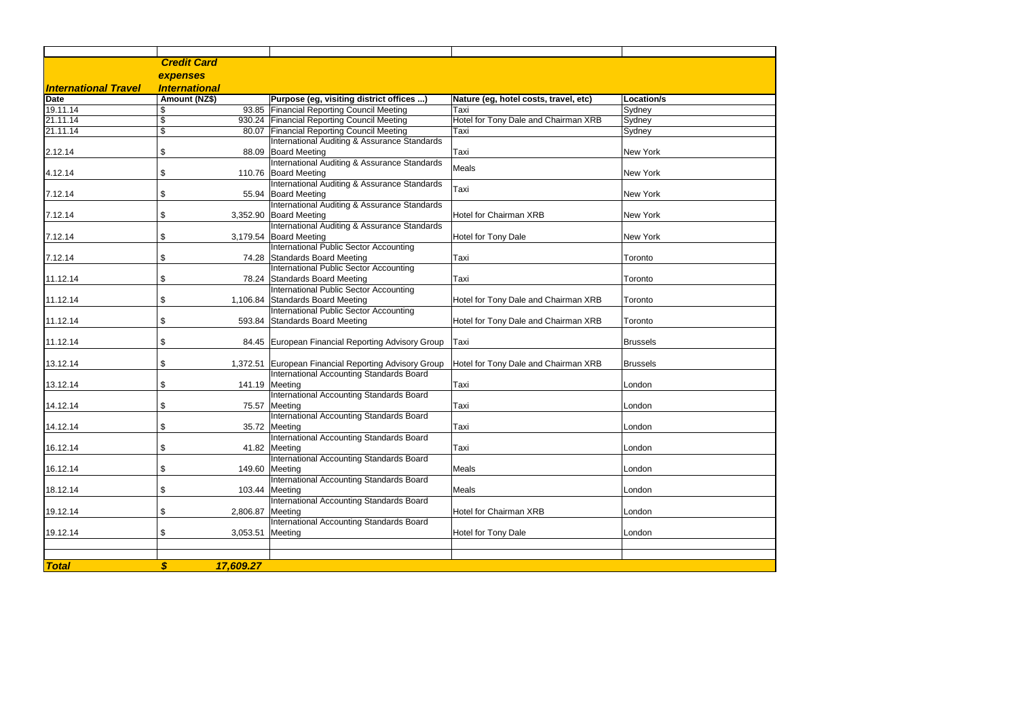|                             | <b>Credit Card</b>   |                  |                                                           |                                       |                 |
|-----------------------------|----------------------|------------------|-----------------------------------------------------------|---------------------------------------|-----------------|
|                             | expenses             |                  |                                                           |                                       |                 |
| <b>International Travel</b> | <b>International</b> |                  |                                                           |                                       |                 |
| <b>Date</b>                 | Amount (NZ\$)        |                  | Purpose (eg, visiting district offices )                  | Nature (eg, hotel costs, travel, etc) | Location/s      |
| 19.11.14                    | \$                   |                  | 93.85 Financial Reporting Council Meeting                 | Taxi                                  | Sydney          |
| 21.11.14                    | \$                   |                  | 930.24 Financial Reporting Council Meeting                | Hotel for Tony Dale and Chairman XRB  | Sydney          |
| 21.11.14                    | \$                   |                  | 80.07 Financial Reporting Council Meeting                 | Taxi                                  | Sydney          |
|                             |                      |                  | International Auditing & Assurance Standards              |                                       |                 |
| 2.12.14                     | \$                   |                  | 88.09 Board Meeting                                       | Taxi                                  | New York        |
|                             |                      |                  | International Auditing & Assurance Standards              |                                       |                 |
| 4.12.14                     | \$                   |                  | 110.76 Board Meeting                                      | Meals                                 | New York        |
|                             |                      |                  | International Auditing & Assurance Standards              |                                       |                 |
| 7.12.14                     | \$                   |                  | 55.94 Board Meeting                                       | Taxi                                  | New York        |
|                             |                      |                  | International Auditing & Assurance Standards              |                                       |                 |
| 7.12.14                     | \$                   |                  | 3,352.90 Board Meeting                                    | <b>Hotel for Chairman XRB</b>         | New York        |
|                             |                      |                  | International Auditing & Assurance Standards              |                                       |                 |
| 7.12.14                     | \$                   |                  | 3,179.54 Board Meeting                                    | Hotel for Tony Dale                   | New York        |
|                             |                      |                  | International Public Sector Accounting                    |                                       |                 |
| 7.12.14                     | \$                   |                  | 74.28 Standards Board Meeting                             | Taxi                                  | Toronto         |
|                             |                      |                  | International Public Sector Accounting                    |                                       |                 |
| 11.12.14                    | \$                   |                  | 78.24 Standards Board Meeting                             | Taxi                                  | Toronto         |
|                             |                      |                  | International Public Sector Accounting                    |                                       |                 |
| 11.12.14                    | \$                   |                  | 1,106.84 Standards Board Meeting                          | Hotel for Tony Dale and Chairman XRB  | Toronto         |
|                             |                      |                  | International Public Sector Accounting                    |                                       |                 |
| 11.12.14                    | \$                   |                  | 593.84 Standards Board Meeting                            | Hotel for Tony Dale and Chairman XRB  | Toronto         |
|                             |                      |                  |                                                           |                                       |                 |
| 11.12.14                    | \$                   |                  | 84.45 European Financial Reporting Advisory Group         | Taxi                                  | <b>Brussels</b> |
|                             |                      |                  |                                                           |                                       |                 |
| 13.12.14                    | \$                   |                  | 1,372.51 European Financial Reporting Advisory Group      | Hotel for Tony Dale and Chairman XRB  | <b>Brussels</b> |
|                             |                      |                  | International Accounting Standards Board                  |                                       |                 |
| 13.12.14                    | \$                   |                  | 141.19 Meeting                                            | Taxi                                  | London          |
|                             |                      |                  | International Accounting Standards Board                  |                                       |                 |
| 14.12.14                    | \$                   |                  | 75.57 Meeting                                             | Taxi                                  | London          |
|                             |                      |                  | International Accounting Standards Board                  |                                       |                 |
| 14.12.14                    | \$                   |                  | 35.72 Meeting                                             | Taxi                                  | London          |
|                             |                      |                  | International Accounting Standards Board                  |                                       |                 |
| 16.12.14                    | \$                   |                  | 41.82 Meeting<br>International Accounting Standards Board | Taxi                                  | London          |
| 16.12.14                    |                      |                  | 149.60 Meeting                                            | Meals                                 | London          |
|                             | \$                   |                  | International Accounting Standards Board                  |                                       |                 |
| 18.12.14                    | \$                   |                  | 103.44 Meeting                                            | Meals                                 | London          |
|                             |                      |                  | International Accounting Standards Board                  |                                       |                 |
| 19.12.14                    | \$                   | 2,806.87 Meeting |                                                           | <b>Hotel for Chairman XRB</b>         | London          |
|                             |                      |                  | International Accounting Standards Board                  |                                       |                 |
| 19.12.14                    | \$                   | 3,053.51 Meeting |                                                           | Hotel for Tony Dale                   | London          |
|                             |                      |                  |                                                           |                                       |                 |
|                             |                      |                  |                                                           |                                       |                 |
|                             |                      |                  |                                                           |                                       |                 |
| <b>Total</b>                | \$                   | 17,609.27        |                                                           |                                       |                 |

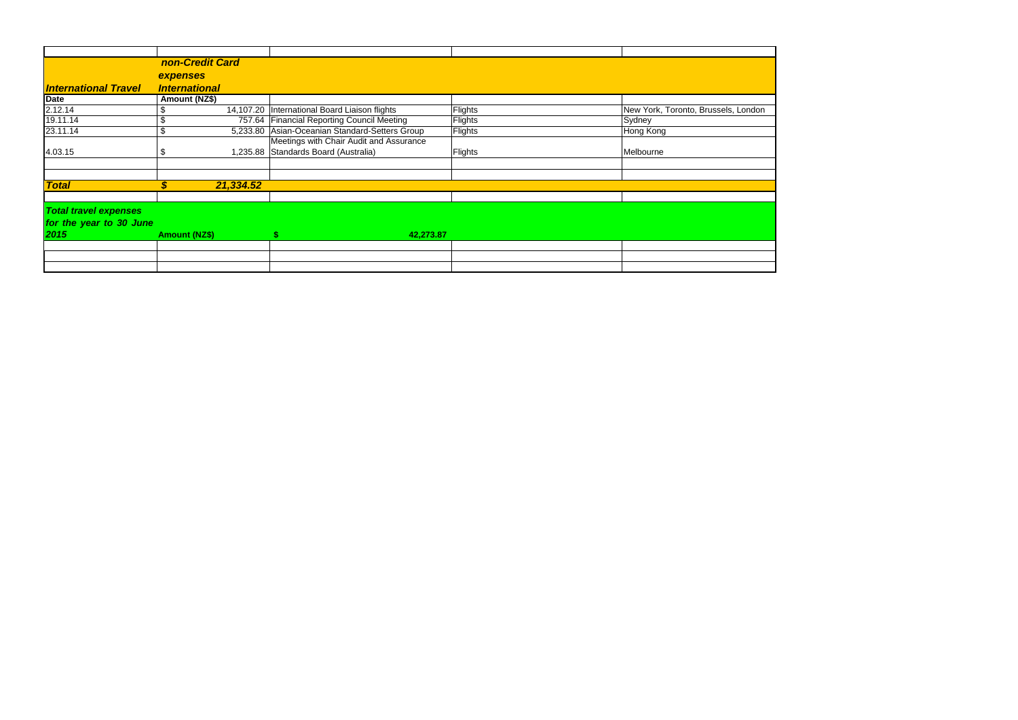|                                                                 | non-Credit Card      |           |                                                 |         |                                     |
|-----------------------------------------------------------------|----------------------|-----------|-------------------------------------------------|---------|-------------------------------------|
|                                                                 | expenses             |           |                                                 |         |                                     |
| <b>International Travel</b>                                     | <b>International</b> |           |                                                 |         |                                     |
|                                                                 | Amount (NZ\$)        |           |                                                 |         |                                     |
| Date<br>2.12.14                                                 | \$                   |           | 14,107.20   International Board Liaison flights | Flights | New York, Toronto, Brussels, London |
| 19.11.14                                                        | \$                   |           | 757.64 Financial Reporting Council Meeting      | Flights | Sydney                              |
| 23.11.14                                                        | \$                   |           | 5,233.80 Asian-Oceanian Standard-Setters Group  | Flights | Hong Kong                           |
|                                                                 |                      |           | Meetings with Chair Audit and Assurance         |         |                                     |
| 4.03.15                                                         | \$                   |           | 1,235.88 Standards Board (Australia)            | Flights | Melbourne                           |
|                                                                 |                      |           |                                                 |         |                                     |
| <b>Total</b>                                                    | \$                   | 21,334.52 |                                                 |         |                                     |
|                                                                 |                      |           |                                                 |         |                                     |
| <b>Total travel expenses</b><br>for the year to 30 June<br>2015 | <b>Amount (NZ\$)</b> |           | 42,273.87                                       |         |                                     |
|                                                                 |                      |           |                                                 |         |                                     |
|                                                                 |                      |           |                                                 |         |                                     |
|                                                                 |                      |           |                                                 |         |                                     |
|                                                                 |                      |           |                                                 |         |                                     |

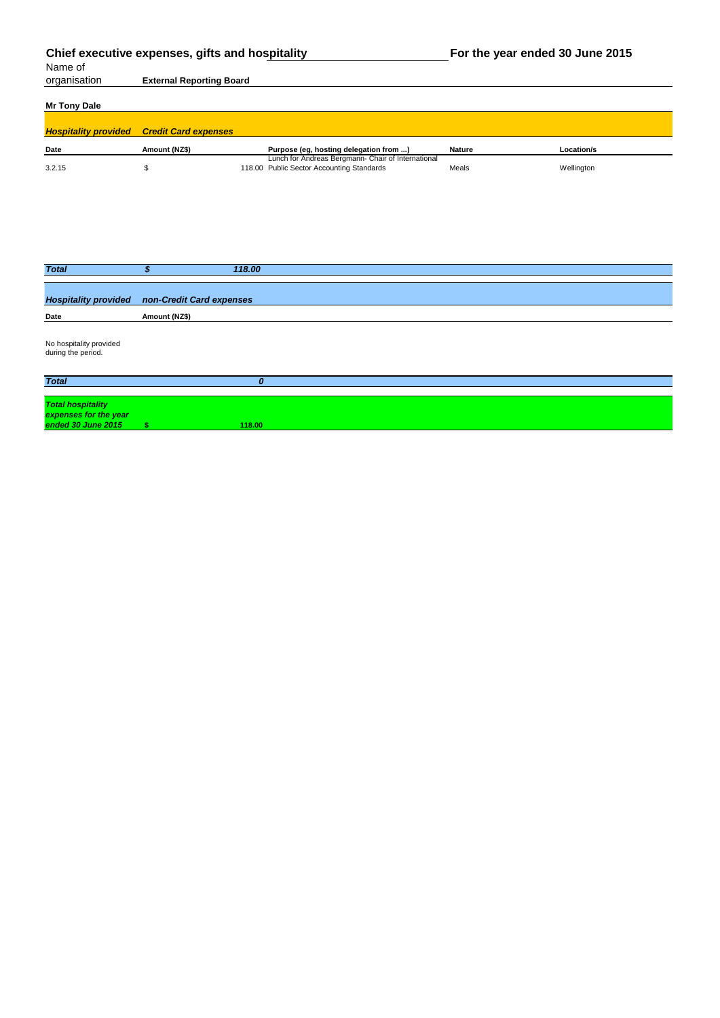| Chief executive expenses, gifts and hospitality<br>Name of |                                 | For the year ended 30 June 2015 |                                                                                                 |               |            |
|------------------------------------------------------------|---------------------------------|---------------------------------|-------------------------------------------------------------------------------------------------|---------------|------------|
| organisation                                               | <b>External Reporting Board</b> |                                 |                                                                                                 |               |            |
| <b>Mr Tony Dale</b>                                        |                                 |                                 |                                                                                                 |               |            |
| <b>Hospitality provided</b>                                | <b>Credit Card expenses</b>     |                                 |                                                                                                 |               |            |
| <b>Date</b>                                                | Amount (NZ\$)                   |                                 | Purpose (eg, hosting delegation from )                                                          | <b>Nature</b> | Location/s |
| 3.2.15                                                     | \$                              |                                 | Lunch for Andreas Bergmann- Chair of International<br>118.00 Public Sector Accounting Standards | Meals         | Wellington |
|                                                            |                                 |                                 |                                                                                                 |               |            |
| <b>Total</b>                                               | $\boldsymbol{\mathsf{s}}$       | 118.00                          |                                                                                                 |               |            |
| <b>Hospitality provided</b>                                | non-Credit Card expenses        |                                 |                                                                                                 |               |            |
| Date                                                       | Amount (NZ\$)                   |                                 |                                                                                                 |               |            |
| No hospitality provided<br>during the period.              |                                 |                                 |                                                                                                 |               |            |
| <b>Total</b>                                               |                                 | $\boldsymbol{o}$                |                                                                                                 |               |            |
| <b>Total hospitality</b><br>expenses for the year          |                                 |                                 |                                                                                                 |               |            |

*ended 30 June 2015* **\$ 118.00**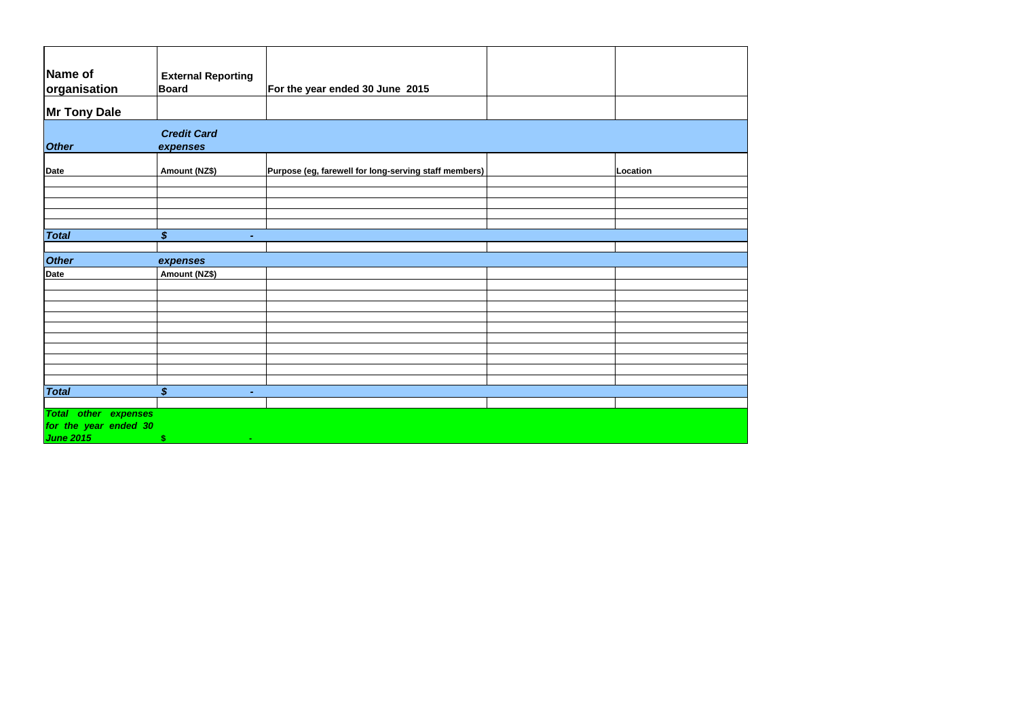| Name of<br>organisation                                 | <b>External Reporting</b><br><b>Board</b>    | For the year ended 30 June 2015                       |          |
|---------------------------------------------------------|----------------------------------------------|-------------------------------------------------------|----------|
| <b>Mr Tony Dale</b>                                     |                                              |                                                       |          |
| <b>Other</b>                                            | <b>Credit Card</b><br>expenses               |                                                       |          |
| Date                                                    | <b>Amount (NZ\$)</b>                         | Purpose (eg, farewell for long-serving staff members) | Location |
|                                                         |                                              |                                                       |          |
|                                                         |                                              |                                                       |          |
|                                                         |                                              |                                                       |          |
| <b>Total</b>                                            | $\boldsymbol{\mathcal{S}}$<br>$\blacksquare$ |                                                       |          |
|                                                         |                                              |                                                       |          |
| <b>Other</b>                                            | expenses                                     |                                                       |          |
| Date                                                    | <b>Amount (NZ\$)</b>                         |                                                       |          |
|                                                         |                                              |                                                       |          |
|                                                         |                                              |                                                       |          |
|                                                         |                                              |                                                       |          |
|                                                         |                                              |                                                       |          |
|                                                         |                                              |                                                       |          |
|                                                         |                                              |                                                       |          |
|                                                         |                                              |                                                       |          |
|                                                         |                                              |                                                       |          |
| <b>Total</b>                                            | $\boldsymbol{\mathsf{S}}$<br>$\blacksquare$  |                                                       |          |
|                                                         |                                              |                                                       |          |
| other expenses<br><b>Total</b><br>for the year ended 30 |                                              |                                                       |          |
| <b>June 2015</b>                                        | $\boldsymbol{\$}$<br>$\sim$                  |                                                       |          |